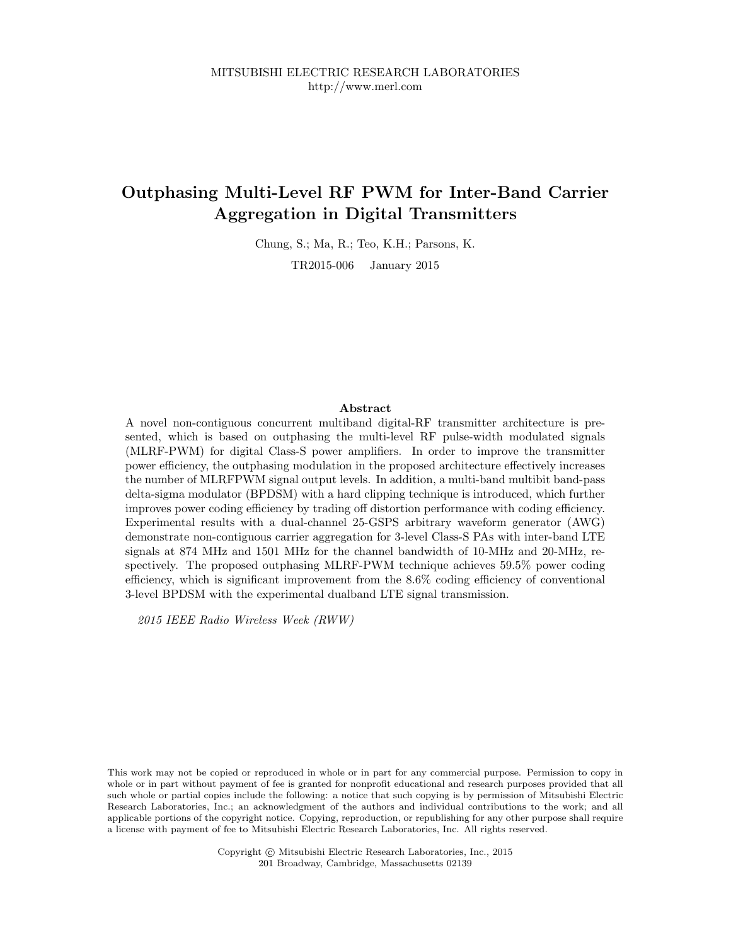# Outphasing Multi-Level RF PWM for Inter-Band Carrier Aggregation in Digital Transmitters

Chung, S.; Ma, R.; Teo, K.H.; Parsons, K.

TR2015-006 January 2015

## Abstract

A novel non-contiguous concurrent multiband digital-RF transmitter architecture is presented, which is based on outphasing the multi-level RF pulse-width modulated signals (MLRF-PWM) for digital Class-S power amplifiers. In order to improve the transmitter power efficiency, the outphasing modulation in the proposed architecture effectively increases the number of MLRFPWM signal output levels. In addition, a multi-band multibit band-pass delta-sigma modulator (BPDSM) with a hard clipping technique is introduced, which further improves power coding efficiency by trading off distortion performance with coding efficiency. Experimental results with a dual-channel 25-GSPS arbitrary waveform generator (AWG) demonstrate non-contiguous carrier aggregation for 3-level Class-S PAs with inter-band LTE signals at 874 MHz and 1501 MHz for the channel bandwidth of 10-MHz and 20-MHz, respectively. The proposed outphasing MLRF-PWM technique achieves 59.5% power coding efficiency, which is significant improvement from the 8.6% coding efficiency of conventional 3-level BPDSM with the experimental dualband LTE signal transmission.

2015 IEEE Radio Wireless Week (RWW)

This work may not be copied or reproduced in whole or in part for any commercial purpose. Permission to copy in whole or in part without payment of fee is granted for nonprofit educational and research purposes provided that all such whole or partial copies include the following: a notice that such copying is by permission of Mitsubishi Electric Research Laboratories, Inc.; an acknowledgment of the authors and individual contributions to the work; and all applicable portions of the copyright notice. Copying, reproduction, or republishing for any other purpose shall require a license with payment of fee to Mitsubishi Electric Research Laboratories, Inc. All rights reserved.

> Copyright © Mitsubishi Electric Research Laboratories, Inc., 2015 201 Broadway, Cambridge, Massachusetts 02139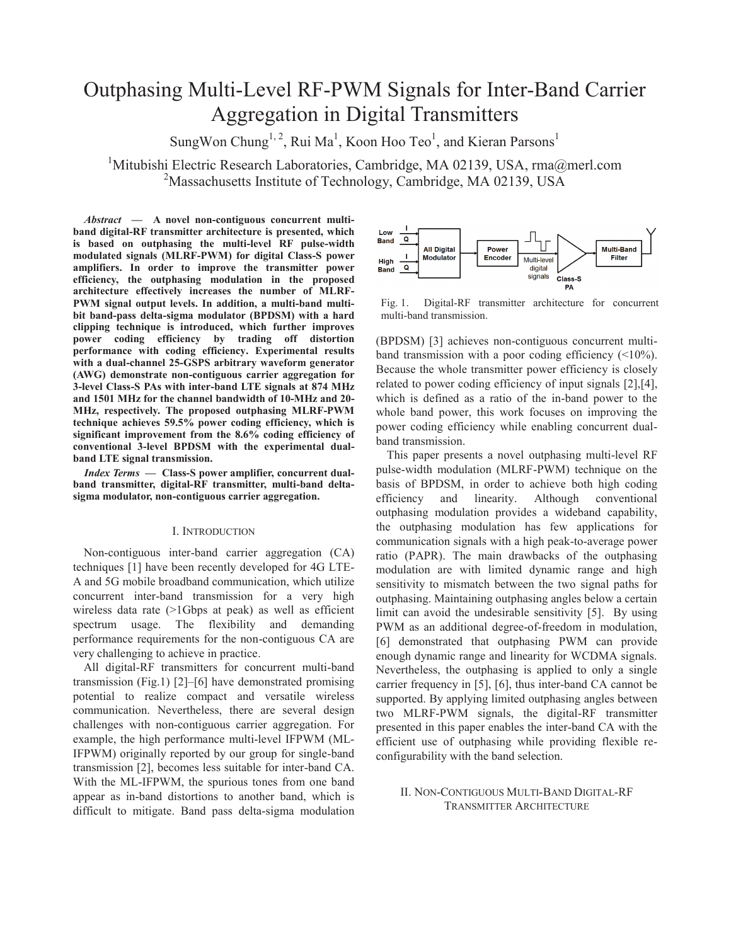# Outphasing Multi-Level RF-PWM Signals for Inter-Band Carrier Aggregation in Digital Transmitters

SungWon Chung<sup>1, 2</sup>, Rui Ma<sup>1</sup>, Koon Hoo Teo<sup>1</sup>, and Kieran Parsons<sup>1</sup>

<sup>1</sup>Mitubishi Electric Research Laboratories, Cambridge, MA 02139, USA, rma@merl.com <sup>2</sup>Massachusetts Institute of Technology, Cambridge, MA 02139, USA

*Abstract* **— A novel non-contiguous concurrent multiband digital-RF transmitter architecture is presented, which is based on outphasing the multi-level RF pulse-width modulated signals (MLRF-PWM) for digital Class-S power amplifiers. In order to improve the transmitter power efficiency, the outphasing modulation in the proposed architecture effectively increases the number of MLRF-PWM signal output levels. In addition, a multi-band multibit band-pass delta-sigma modulator (BPDSM) with a hard clipping technique is introduced, which further improves power coding efficiency by trading off distortion performance with coding efficiency. Experimental results with a dual-channel 25-GSPS arbitrary waveform generator (AWG) demonstrate non-contiguous carrier aggregation for 3-level Class-S PAs with inter-band LTE signals at 874 MHz and 1501 MHz for the channel bandwidth of 10-MHz and 20- MHz, respectively. The proposed outphasing MLRF-PWM technique achieves 59.5% power coding efficiency, which is significant improvement from the 8.6% coding efficiency of conventional 3-level BPDSM with the experimental dualband LTE signal transmission.**

*Index Terms* **— Class-S power amplifier, concurrent dualband transmitter, digital-RF transmitter, multi-band deltasigma modulator, non-contiguous carrier aggregation.**

#### I. INTRODUCTION

Non-contiguous inter-band carrier aggregation (CA) techniques [1] have been recently developed for 4G LTE-A and 5G mobile broadband communication, which utilize concurrent inter-band transmission for a very high wireless data rate (>1Gbps at peak) as well as efficient spectrum usage. The flexibility and demanding performance requirements for the non-contiguous CA are very challenging to achieve in practice.

All digital-RF transmitters for concurrent multi-band transmission (Fig.1) [2]–[6] have demonstrated promising potential to realize compact and versatile wireless communication. Nevertheless, there are several design challenges with non-contiguous carrier aggregation. For example, the high performance multi-level IFPWM (ML-IFPWM) originally reported by our group for single-band transmission [2], becomes less suitable for inter-band CA. With the ML-IFPWM, the spurious tones from one band appear as in-band distortions to another band, which is difficult to mitigate. Band pass delta-sigma modulation



Fig. 1. Digital-RF transmitter architecture for concurrent multi-band transmission.

(BPDSM) [3] achieves non-contiguous concurrent multiband transmission with a poor coding efficiency  $($ <10%). Because the whole transmitter power efficiency is closely related to power coding efficiency of input signals [2],[4], which is defined as a ratio of the in-band power to the whole band power, this work focuses on improving the power coding efficiency while enabling concurrent dualband transmission.

This paper presents a novel outphasing multi-level RF pulse-width modulation (MLRF-PWM) technique on the basis of BPDSM, in order to achieve both high coding efficiency and linearity. Although conventional outphasing modulation provides a wideband capability, the outphasing modulation has few applications for communication signals with a high peak-to-average power ratio (PAPR). The main drawbacks of the outphasing modulation are with limited dynamic range and high sensitivity to mismatch between the two signal paths for outphasing. Maintaining outphasing angles below a certain limit can avoid the undesirable sensitivity [5]. By using PWM as an additional degree-of-freedom in modulation, [6] demonstrated that outphasing PWM can provide enough dynamic range and linearity for WCDMA signals. Nevertheless, the outphasing is applied to only a single carrier frequency in [5], [6], thus inter-band CA cannot be supported. By applying limited outphasing angles between two MLRF-PWM signals, the digital-RF transmitter presented in this paper enables the inter-band CA with the efficient use of outphasing while providing flexible reconfigurability with the band selection.

# II. NON-CONTIGUOUS MULTI-BAND DIGITAL-RF TRANSMITTER ARCHITECTURE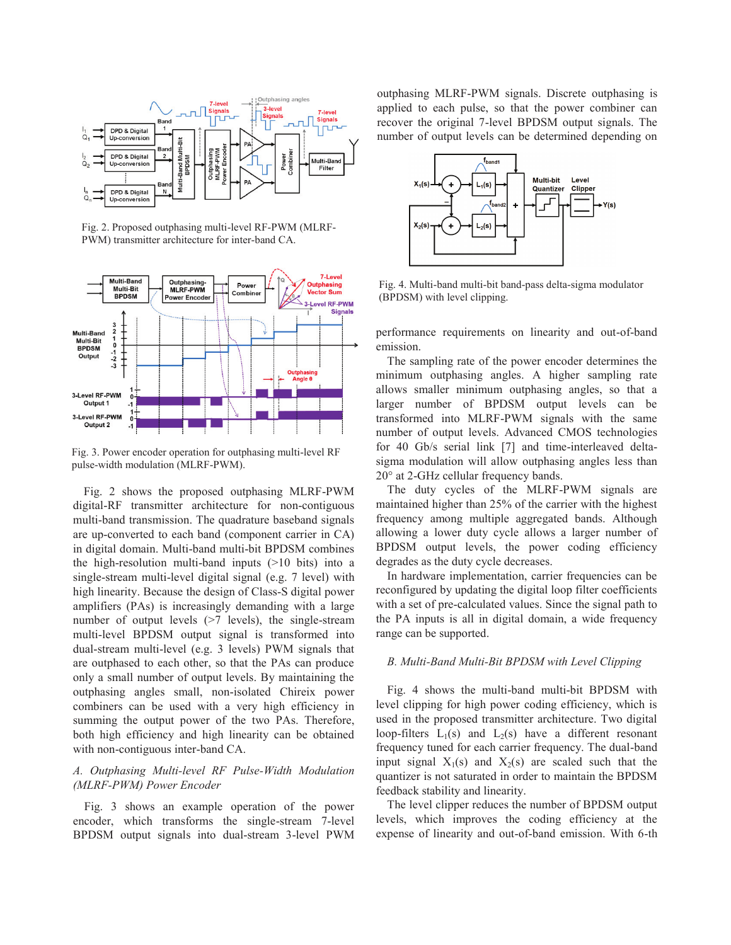

Fig. 2. Proposed outphasing multi-level RF-PWM (MLRF-PWM) transmitter architecture for inter-band CA.



Fig. 3. Power encoder operation for outphasing multi-level RF pulse-width modulation (MLRF-PWM).

Fig. 2 shows the proposed outphasing MLRF-PWM digital-RF transmitter architecture for non-contiguous multi-band transmission. The quadrature baseband signals are up-converted to each band (component carrier in CA) in digital domain. Multi-band multi-bit BPDSM combines the high-resolution multi-band inputs  $(>10$  bits) into a single-stream multi-level digital signal (e.g. 7 level) with high linearity. Because the design of Class-S digital power amplifiers (PAs) is increasingly demanding with a large number of output levels ( $>7$  levels), the single-stream multi-level BPDSM output signal is transformed into dual-stream multi-level (e.g. 3 levels) PWM signals that are outphased to each other, so that the PAs can produce only a small number of output levels. By maintaining the outphasing angles small, non-isolated Chireix power combiners can be used with a very high efficiency in summing the output power of the two PAs. Therefore, both high efficiency and high linearity can be obtained with non-contiguous inter-band CA.

# *A. Outphasing Multi-level RF Pulse-Width Modulation (MLRF-PWM) Power Encoder*

Fig. 3 shows an example operation of the power encoder, which transforms the single-stream 7-level BPDSM output signals into dual-stream 3-level PWM outphasing MLRF-PWM signals. Discrete outphasing is applied to each pulse, so that the power combiner can recover the original 7-level BPDSM output signals. The number of output levels can be determined depending on



Fig. 4. Multi-band multi-bit band-pass delta-sigma modulator (BPDSM) with level clipping.

performance requirements on linearity and out-of-band emission.

The sampling rate of the power encoder determines the minimum outphasing angles. A higher sampling rate allows smaller minimum outphasing angles, so that a larger number of BPDSM output levels can be transformed into MLRF-PWM signals with the same number of output levels. Advanced CMOS technologies for 40 Gb/s serial link [7] and time-interleaved deltasigma modulation will allow outphasing angles less than 20° at 2-GHz cellular frequency bands.

The duty cycles of the MLRF-PWM signals are maintained higher than 25% of the carrier with the highest frequency among multiple aggregated bands. Although allowing a lower duty cycle allows a larger number of BPDSM output levels, the power coding efficiency degrades as the duty cycle decreases.

In hardware implementation, carrier frequencies can be reconfigured by updating the digital loop filter coefficients with a set of pre-calculated values. Since the signal path to the PA inputs is all in digital domain, a wide frequency range can be supported.

## *B. Multi-Band Multi-Bit BPDSM with Level Clipping*

Fig. 4 shows the multi-band multi-bit BPDSM with level clipping for high power coding efficiency, which is used in the proposed transmitter architecture. Two digital loop-filters  $L_1(s)$  and  $L_2(s)$  have a different resonant frequency tuned for each carrier frequency. The dual-band input signal  $X_1(s)$  and  $X_2(s)$  are scaled such that the quantizer is not saturated in order to maintain the BPDSM feedback stability and linearity.

The level clipper reduces the number of BPDSM output levels, which improves the coding efficiency at the expense of linearity and out-of-band emission. With 6-th